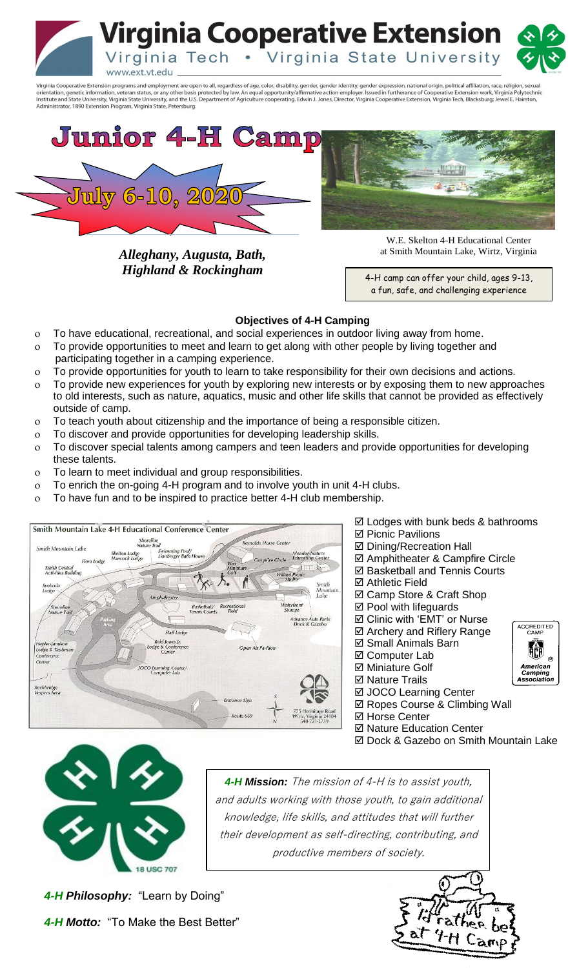**Virginia Cooperative Extension** Virginia Tech . Virginia State University www.ext.vt.edu

Virginia Cooperative Extension programs and employment are open to all, regardless of age, color, disability, gender, gender identity, gender expression, national origin, political affiliation, race, religion, sexual orientation, genetic information, veteran status, or any other basis protected by law. An equal opportunity/affirmative action employer. Issued in furtherance of Cooperative Extension work, Virginia Polytechnic<br>Institute a



*Alleghany, Augusta, Bath, Highland & Rockingham*



W.E. Skelton 4-H Educational Center at Smith Mountain Lake, Wirtz, Virginia

 4-H camp can offer your child, ages 9-13, a fun, safe, and challenging experience

## **Objectives of 4-H Camping**

- To have educational, recreational, and social experiences in outdoor living away from home.
- To provide opportunities to meet and learn to get along with other people by living together and participating together in a camping experience.
- To provide opportunities for youth to learn to take responsibility for their own decisions and actions.
- To provide new experiences for youth by exploring new interests or by exposing them to new approaches to old interests, such as nature, aquatics, music and other life skills that cannot be provided as effectively outside of camp.
- To teach youth about citizenship and the importance of being a responsible citizen.
- To discover and provide opportunities for developing leadership skills.
- To discover special talents among campers and teen leaders and provide opportunities for developing these talents.
- To learn to meet individual and group responsibilities.
- To enrich the on-going 4-H program and to involve youth in unit 4-H clubs.
- To have fun and to be inspired to practice better 4-H club membership.



- $\boxtimes$  Lodges with bunk beds & bathrooms
- **Ø** Picnic Pavilions
- **Ø Dining/Recreation Hall**
- Amphitheater & Campfire Circle
- $⊓$  **Basketball and Tennis Courts**
- Athletic Field
- $\boxtimes$  **Camp Store & Craft Shop**
- **Ø** Pool with lifeguards
- $box$  **Clinic with 'EMT' or Nurse**
- $\boxtimes$  **Archery and Riflery Range**
- $⊓$  **Small Animals Barn**
- **Ø** Computer Lab **Ø Miniature Golf**
- **Ø Nature Trails**
- **Ø JOCO Learning Center**
- $\boxtimes$  **Ropes Course & Climbing Wall**
- **Ø Horse Center**
- **Ø Nature Education Center**
- **Ø Dock & Gazebo on Smith Mountain Lake**

ACCREDITED<br>CAMP

幯

American<br>Camping<br>Association



 their development as self-directing, contributing, and *4-H Mission:* The mission of 4-H is to assist youth, and adults working with those youth, to gain additional knowledge, life skills, and attitudes that will further productive members of society.

**4-H Philosophy:** "Learn by Doing"  *4-H Motto:* "To Make the Best Better"